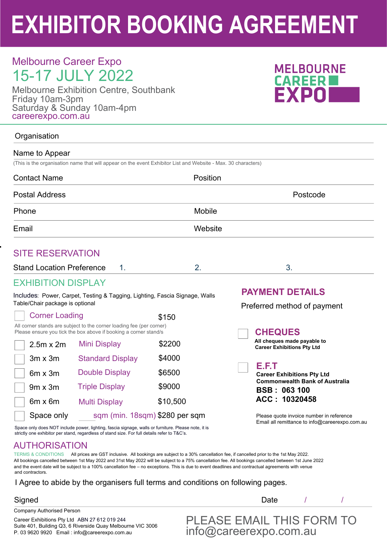# **EXHIBITOR BOOKING AGREEMENT**

# Melbourne Career Expo 15-17 JULY 2022

Melbourne Exhibition Centre, Southbank Friday 10am-3pm Saturday & Sunday 10am-4pm careerexpo.com.au



### **Organisation**

| Name to Appear                   |                                                                                                                                          |          |                                                                  |  |
|----------------------------------|------------------------------------------------------------------------------------------------------------------------------------------|----------|------------------------------------------------------------------|--|
|                                  | (This is the organisation name that will appear on the event Exhibitor List and Website - Max. 30 characters)                            |          |                                                                  |  |
| <b>Contact Name</b>              |                                                                                                                                          | Position |                                                                  |  |
| <b>Postal Address</b>            |                                                                                                                                          |          | Postcode                                                         |  |
| Phone                            |                                                                                                                                          | Mobile   |                                                                  |  |
| Email                            |                                                                                                                                          | Website  |                                                                  |  |
| <b>SITE RESERVATION</b>          |                                                                                                                                          |          |                                                                  |  |
| <b>Stand Location Preference</b> | 1.                                                                                                                                       | 2.       | 3.                                                               |  |
| <b>EXHIBITION DISPLAY</b>        |                                                                                                                                          |          |                                                                  |  |
|                                  | Includes: Power, Carpet, Testing & Tagging, Lighting, Fascia Signage, Walls                                                              |          | <b>PAYMENT DETAILS</b>                                           |  |
| Table/Chair package is optional  |                                                                                                                                          |          | Preferred method of payment                                      |  |
| <b>Corner Loading</b>            |                                                                                                                                          | \$150    |                                                                  |  |
|                                  | All corner stands are subject to the corner loading fee (per corner)<br>Please ensure you tick the box above if booking a corner stand/s |          | <b>CHEQUES</b>                                                   |  |
| $2.5m \times 2m$                 | <b>Mini Display</b>                                                                                                                      | \$2200   | All cheques made payable to<br><b>Career Exhibitions Pty Ltd</b> |  |
| $3m \times 3m$                   | <b>Standard Display</b>                                                                                                                  | \$4000   |                                                                  |  |
| $\sim$ $\sim$                    | Double Diopley                                                                                                                           | 00 E N   | E.F.T                                                            |  |

 **Career Exhibitions Pty Ltd Commonwealth Bank of Australia BSB : 063 100 ACC : 10320458**

 Please quote invoice number in reference Email all remittance to info@careerexpo.com.au

Space only does NOT include power, lighting, fascia signage, walls or furniture. Please note, it is strictly one exhibitor per stand, regardless of stand size. For full details refer to T&C's.

Double Display

9m x 3m Triple Display \$9000

Multi Display

## AUTHORISATION

6m x 3m

6m x 6m

Space only

TERMS & CONDITIONS All prices are GST inclusive. All bookings are subject to a 30% cancellation fee, if cancelled prior to the 1st May 2022. All bookings cancelled between 1st May 2022 and 31st May 2022 will be subject to a 75% cancellation fee. All bookings cancelled between 1st June 2022 and the event date will be subject to a 100% cancellation fee – no exceptions. This is due to event deadlines and contractual agreements with venue and contractors.

\$6500

\$10,500

### I Agree to abide by the organisers full terms and conditions on following pages.

sqm (min. 18sqm) \$280 per sqm

Company Authorised Person

Signed and the contract of the contract of the Date and  $\mathsf{D}$ ate and  $\mathsf{D}$ 

Career Exhibitions Pty Ltd ABN 27 612 019 244 Suite 401, Building Q3, 6 Riverside Quay Melbourne VIC 3006 P. 03 9620 9920 Email : info@careerexpo.com.au

 PLEASE EMAIL THIS FORM TO info@careerexpo.com.au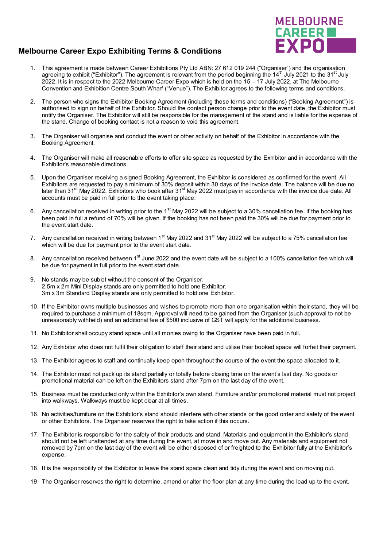

#### **Melbourne Career Expo Exhibiting Terms & Conditions**

- 1. This agreement is made between Career Exhibitions Pty Ltd ABN: 27 612 019 244 ("Organiser") and the organisation agreeing to exhibit ("Exhibitor"). The agreement is relevant from the period beginning the  $14<sup>th</sup>$  July 2021 to the  $31<sup>st</sup>$  July 2022. It is in respect to the 2022 Melbourne Career Expo which is held on the 15 – 17 July 2022, at The Melbourne Convention and Exhibition Centre South Wharf ("Venue"). The Exhibitor agrees to the following terms and conditions.
- 2. The person who signs the Exhibitor Booking Agreement (including these terms and conditions) ("Booking Agreement") is authorised to sign on behalf of the Exhibitor. Should the contact person change prior to the event date, the Exhibitor must notify the Organiser. The Exhibitor will still be responsible for the management of the stand and is liable for the expense of the stand. Change of booking contact is not a reason to void this agreement.
- 3. The Organiser will organise and conduct the event or other activity on behalf of the Exhibitor in accordance with the Booking Agreement.
- 4. The Organiser will make all reasonable efforts to offer site space as requested by the Exhibitor and in accordance with the Exhibitor's reasonable directions.
- 5. Upon the Organiser receiving a signed Booking Agreement, the Exhibitor is considered as confirmed for the event. All Exhibitors are requested to pay a minimum of 30% deposit within 30 days of the invoice date. The balance will be due no later than 31<sup>st</sup> May 2022. Exhibitors who book after 31<sup>st</sup> May 2022 must pay in accordance with the invoice due date. All accounts must be paid in full prior to the event taking place.
- 6. Any cancellation received in writing prior to the 1<sup>st</sup> May 2022 will be subject to a 30% cancellation fee. If the booking has been paid in full a refund of 70% will be given. If the booking has not been paid the 30% will be due for payment prior to the event start date.
- 7. Any cancellation received in writing between 1<sup>st</sup> May 2022 and 31<sup>st</sup> May 2022 will be subject to a 75% cancellation fee which will be due for payment prior to the event start date.
- 8. Any cancellation received between 1<sup>st</sup> June 2022 and the event date will be subject to a 100% cancellation fee which will be due for payment in full prior to the event start date.
- 9. No stands may be sublet without the consent of the Organiser. 2.5m x 2m Mini Display stands are only permitted to hold one Exhibitor. 3m x 3m Standard Display stands are only permitted to hold one Exhibitor.
- 10. If the Exhibitor owns multiple businesses and wishes to promote more than one organisation within their stand, they will be required to purchase a minimum of 18sqm. Approval will need to be gained from the Organiser (such approval to not be unreasonably withheld) and an additional fee of \$500 inclusive of GST will apply for the additional business.
- 11. No Exhibitor shall occupy stand space until all monies owing to the Organiser have been paid in full.
- 12. Any Exhibitor who does not fulfil their obligation to staff their stand and utilise their booked space will forfeit their payment.
- 13. The Exhibitor agrees to staff and continually keep open throughout the course of the event the space allocated to it.
- 14. The Exhibitor must not pack up its stand partially or totally before closing time on the event's last day. No goods or promotional material can be left on the Exhibitors stand after 7pm on the last day of the event.
- 15. Business must be conducted only within the Exhibitor's own stand. Furniture and/or promotional material must not project into walkways. Walkways must be kept clear at all times.
- 16. No activities/furniture on the Exhibitor's stand should interfere with other stands or the good order and safety of the event or other Exhibitors. The Organiser reserves the right to take action if this occurs.
- 17. The Exhibitor is responsible for the safety of their products and stand. Materials and equipment in the Exhibitor's stand should not be left unattended at any time during the event, at move in and move out. Any materials and equipment not removed by 7pm on the last day of the event will be either disposed of or freighted to the Exhibitor fully at the Exhibitor's expense.
- 18. It is the responsibility of the Exhibitor to leave the stand space clean and tidy during the event and on moving out.
- 19. The Organiser reserves the right to determine, amend or alter the floor plan at any time during the lead up to the event.